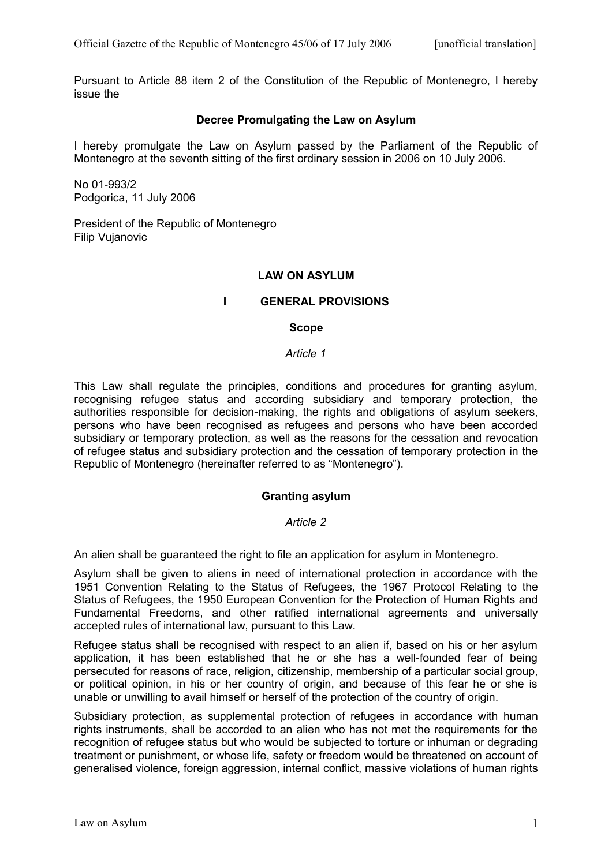Pursuant to Article 88 item 2 of the Constitution of the Republic of Montenegro, I hereby issue the

# **Decree Promulgating the Law on Asylum**

I hereby promulgate the Law on Asylum passed by the Parliament of the Republic of Montenegro at the seventh sitting of the first ordinary session in 2006 on 10 July 2006.

No 01-993/2 Podgorica, 11 July 2006

President of the Republic of Montenegro Filip Vujanovic

## **LAW ON ASYLUM**

## **I GENERAL PROVISIONS**

#### **Scope**

*Article 1*

This Law shall regulate the principles, conditions and procedures for granting asylum, recognising refugee status and according subsidiary and temporary protection, the authorities responsible for decision-making, the rights and obligations of asylum seekers, persons who have been recognised as refugees and persons who have been accorded subsidiary or temporary protection, as well as the reasons for the cessation and revocation of refugee status and subsidiary protection and the cessation of temporary protection in the Republic of Montenegro (hereinafter referred to as "Montenegro").

## **Granting asylum**

#### *Article 2*

An alien shall be guaranteed the right to file an application for asylum in Montenegro.

Asylum shall be given to aliens in need of international protection in accordance with the 1951 Convention Relating to the Status of Refugees, the 1967 Protocol Relating to the Status of Refugees, the 1950 European Convention for the Protection of Human Rights and Fundamental Freedoms, and other ratified international agreements and universally accepted rules of international law, pursuant to this Law.

Refugee status shall be recognised with respect to an alien if, based on his or her asylum application, it has been established that he or she has a well-founded fear of being persecuted for reasons of race, religion, citizenship, membership of a particular social group, or political opinion, in his or her country of origin, and because of this fear he or she is unable or unwilling to avail himself or herself of the protection of the country of origin.

Subsidiary protection, as supplemental protection of refugees in accordance with human rights instruments, shall be accorded to an alien who has not met the requirements for the recognition of refugee status but who would be subjected to torture or inhuman or degrading treatment or punishment, or whose life, safety or freedom would be threatened on account of generalised violence, foreign aggression, internal conflict, massive violations of human rights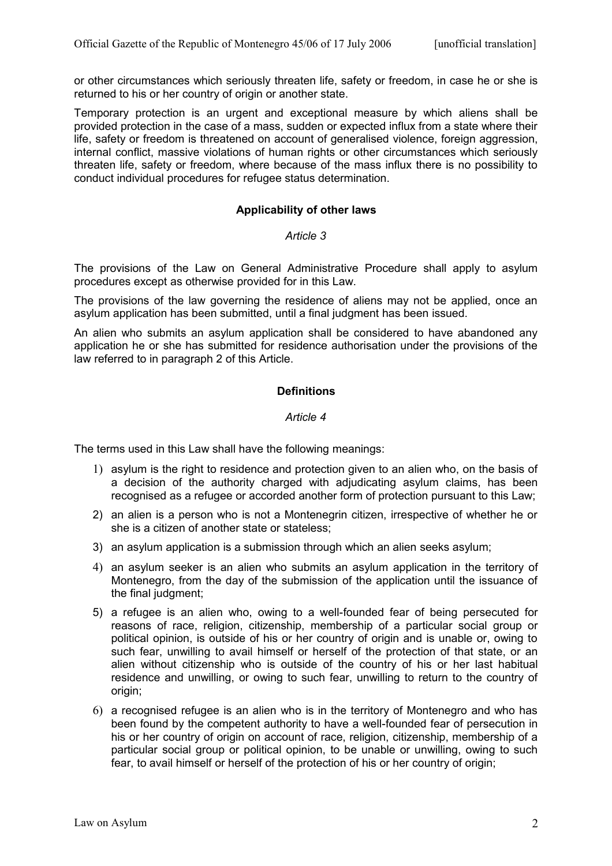or other circumstances which seriously threaten life, safety or freedom, in case he or she is returned to his or her country of origin or another state.

Temporary protection is an urgent and exceptional measure by which aliens shall be provided protection in the case of a mass, sudden or expected influx from a state where their life, safety or freedom is threatened on account of generalised violence, foreign aggression, internal conflict, massive violations of human rights or other circumstances which seriously threaten life, safety or freedom, where because of the mass influx there is no possibility to conduct individual procedures for refugee status determination.

# **Applicability of other laws**

### *Article 3*

The provisions of the Law on General Administrative Procedure shall apply to asylum procedures except as otherwise provided for in this Law.

The provisions of the law governing the residence of aliens may not be applied, once an asylum application has been submitted, until a final judgment has been issued.

An alien who submits an asylum application shall be considered to have abandoned any application he or she has submitted for residence authorisation under the provisions of the law referred to in paragraph 2 of this Article.

## **Definitions**

### *Article 4*

The terms used in this Law shall have the following meanings:

- 1) asylum is the right to residence and protection given to an alien who, on the basis of a decision of the authority charged with adjudicating asylum claims, has been recognised as a refugee or accorded another form of protection pursuant to this Law;
- 2) an alien is a person who is not a Montenegrin citizen, irrespective of whether he or she is a citizen of another state or stateless;
- 3) an asylum application is a submission through which an alien seeks asylum;
- 4) an asylum seeker is an alien who submits an asylum application in the territory of Montenegro, from the day of the submission of the application until the issuance of the final judgment;
- 5) a refugee is an alien who, owing to a well-founded fear of being persecuted for reasons of race, religion, citizenship, membership of a particular social group or political opinion, is outside of his or her country of origin and is unable or, owing to such fear, unwilling to avail himself or herself of the protection of that state, or an alien without citizenship who is outside of the country of his or her last habitual residence and unwilling, or owing to such fear, unwilling to return to the country of origin;
- 6) a recognised refugee is an alien who is in the territory of Montenegro and who has been found by the competent authority to have a well-founded fear of persecution in his or her country of origin on account of race, religion, citizenship, membership of a particular social group or political opinion, to be unable or unwilling, owing to such fear, to avail himself or herself of the protection of his or her country of origin;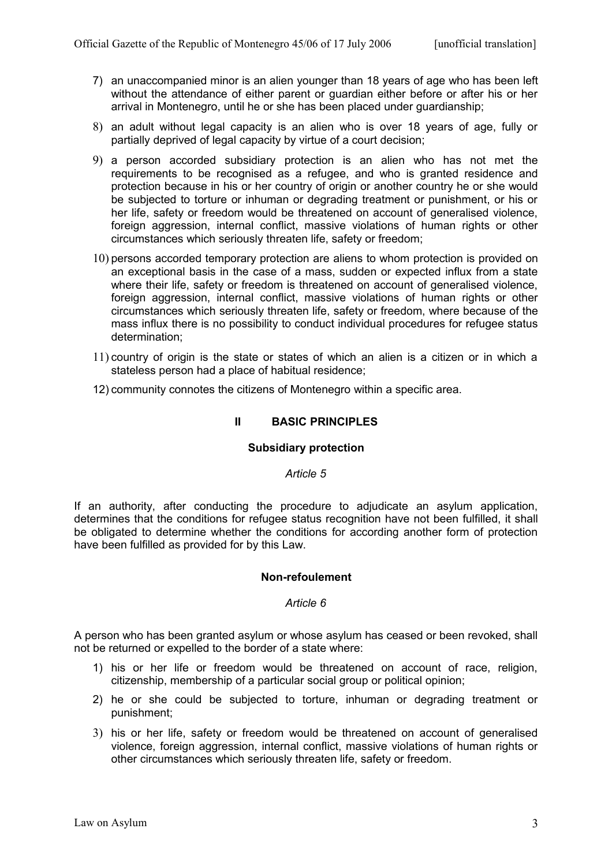- 7) an unaccompanied minor is an alien younger than 18 years of age who has been left without the attendance of either parent or guardian either before or after his or her arrival in Montenegro, until he or she has been placed under guardianship;
- 8) an adult without legal capacity is an alien who is over 18 years of age, fully or partially deprived of legal capacity by virtue of a court decision;
- 9) a person accorded subsidiary protection is an alien who has not met the requirements to be recognised as a refugee, and who is granted residence and protection because in his or her country of origin or another country he or she would be subjected to torture or inhuman or degrading treatment or punishment, or his or her life, safety or freedom would be threatened on account of generalised violence, foreign aggression, internal conflict, massive violations of human rights or other circumstances which seriously threaten life, safety or freedom;
- 10) persons accorded temporary protection are aliens to whom protection is provided on an exceptional basis in the case of a mass, sudden or expected influx from a state where their life, safety or freedom is threatened on account of generalised violence, foreign aggression, internal conflict, massive violations of human rights or other circumstances which seriously threaten life, safety or freedom, where because of the mass influx there is no possibility to conduct individual procedures for refugee status determination;
- 11) country of origin is the state or states of which an alien is a citizen or in which a stateless person had a place of habitual residence;
- 12) community connotes the citizens of Montenegro within a specific area.

## **II BASIC PRINCIPLES**

## **Subsidiary protection**

#### *Article 5*

If an authority, after conducting the procedure to adjudicate an asylum application, determines that the conditions for refugee status recognition have not been fulfilled, it shall be obligated to determine whether the conditions for according another form of protection have been fulfilled as provided for by this Law.

#### **Non-refoulement**

#### *Article 6*

A person who has been granted asylum or whose asylum has ceased or been revoked, shall not be returned or expelled to the border of a state where:

- 1) his or her life or freedom would be threatened on account of race, religion, citizenship, membership of a particular social group or political opinion;
- 2) he or she could be subjected to torture, inhuman or degrading treatment or punishment;
- 3) his or her life, safety or freedom would be threatened on account of generalised violence, foreign aggression, internal conflict, massive violations of human rights or other circumstances which seriously threaten life, safety or freedom.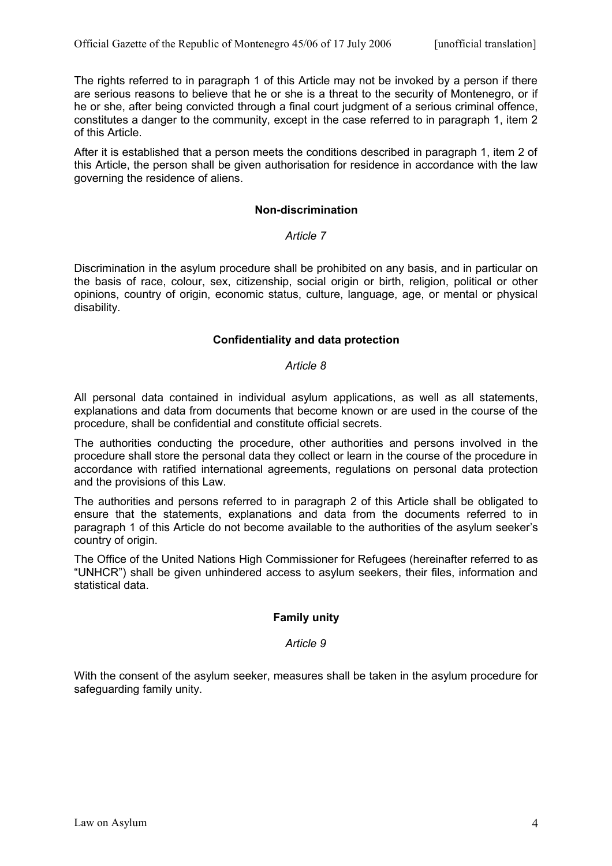The rights referred to in paragraph 1 of this Article may not be invoked by a person if there are serious reasons to believe that he or she is a threat to the security of Montenegro, or if he or she, after being convicted through a final court judgment of a serious criminal offence, constitutes a danger to the community, except in the case referred to in paragraph 1, item 2 of this Article.

After it is established that a person meets the conditions described in paragraph 1, item 2 of this Article, the person shall be given authorisation for residence in accordance with the law governing the residence of aliens.

## **Non-discrimination**

## *Article 7*

Discrimination in the asylum procedure shall be prohibited on any basis, and in particular on the basis of race, colour, sex, citizenship, social origin or birth, religion, political or other opinions, country of origin, economic status, culture, language, age, or mental or physical disability.

### **Confidentiality and data protection**

## *Article 8*

All personal data contained in individual asylum applications, as well as all statements, explanations and data from documents that become known or are used in the course of the procedure, shall be confidential and constitute official secrets.

The authorities conducting the procedure, other authorities and persons involved in the procedure shall store the personal data they collect or learn in the course of the procedure in accordance with ratified international agreements, regulations on personal data protection and the provisions of this Law.

The authorities and persons referred to in paragraph 2 of this Article shall be obligated to ensure that the statements, explanations and data from the documents referred to in paragraph 1 of this Article do not become available to the authorities of the asylum seeker's country of origin.

The Office of the United Nations High Commissioner for Refugees (hereinafter referred to as "UNHCR") shall be given unhindered access to asylum seekers, their files, information and statistical data.

## **Family unity**

## *Article 9*

With the consent of the asylum seeker, measures shall be taken in the asylum procedure for safeguarding family unity.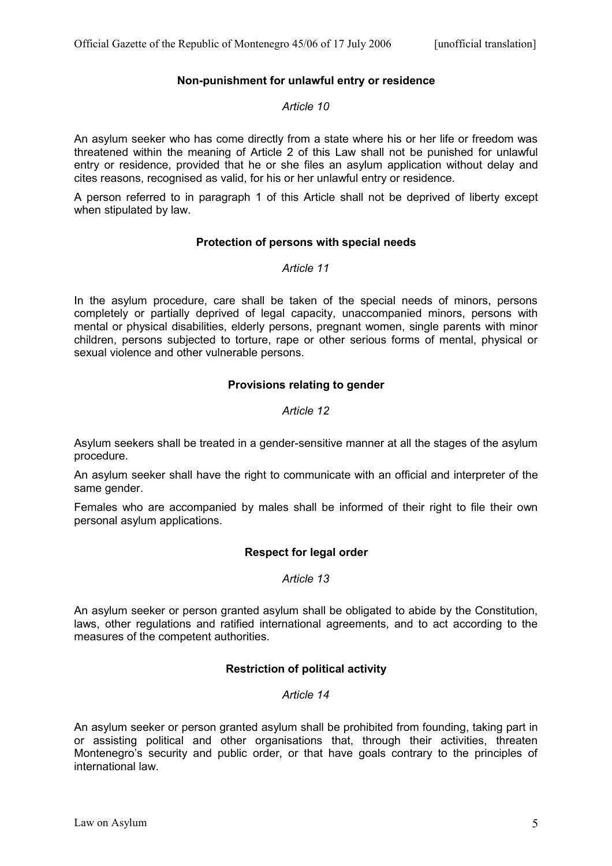# **Non-punishment for unlawful entry or residence**

### *Article 10*

An asylum seeker who has come directly from a state where his or her life or freedom was threatened within the meaning of Article 2 of this Law shall not be punished for unlawful entry or residence, provided that he or she files an asylum application without delay and cites reasons, recognised as valid, for his or her unlawful entry or residence.

A person referred to in paragraph 1 of this Article shall not be deprived of liberty except when stipulated by law.

## **Protection of persons with special needs**

### *Article 11*

In the asylum procedure, care shall be taken of the special needs of minors, persons completely or partially deprived of legal capacity, unaccompanied minors, persons with mental or physical disabilities, elderly persons, pregnant women, single parents with minor children, persons subjected to torture, rape or other serious forms of mental, physical or sexual violence and other vulnerable persons.

## **Provisions relating to gender**

## *Article 12*

Asylum seekers shall be treated in a gender-sensitive manner at all the stages of the asylum procedure.

An asylum seeker shall have the right to communicate with an official and interpreter of the same gender.

Females who are accompanied by males shall be informed of their right to file their own personal asylum applications.

## **Respect for legal order**

#### *Article 13*

An asylum seeker or person granted asylum shall be obligated to abide by the Constitution, laws, other regulations and ratified international agreements, and to act according to the measures of the competent authorities.

## **Restriction of political activity**

# *Article 14*

An asylum seeker or person granted asylum shall be prohibited from founding, taking part in or assisting political and other organisations that, through their activities, threaten Montenegro's security and public order, or that have goals contrary to the principles of international law.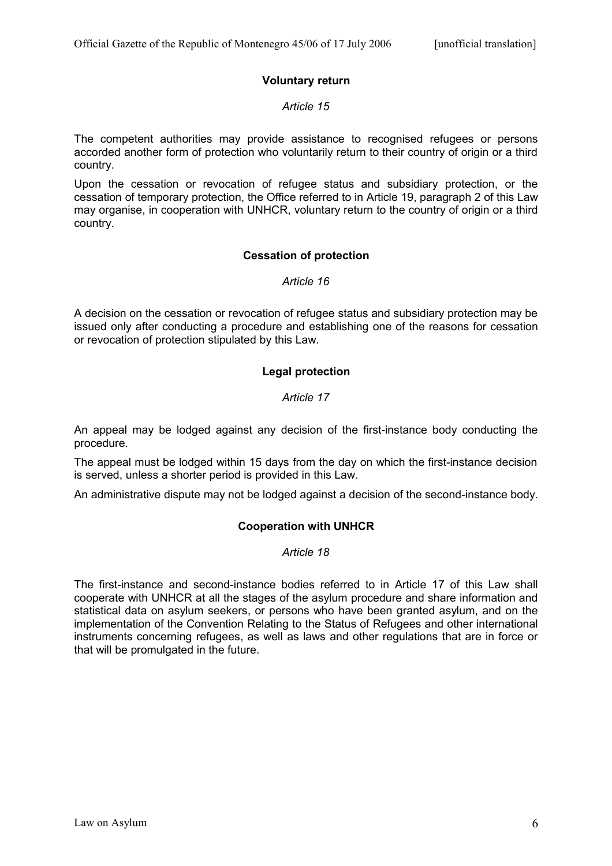# **Voluntary return**

## *Article 15*

The competent authorities may provide assistance to recognised refugees or persons accorded another form of protection who voluntarily return to their country of origin or a third country.

Upon the cessation or revocation of refugee status and subsidiary protection, or the cessation of temporary protection, the Office referred to in Article 19, paragraph 2 of this Law may organise, in cooperation with UNHCR, voluntary return to the country of origin or a third country.

## **Cessation of protection**

*Article 16*

A decision on the cessation or revocation of refugee status and subsidiary protection may be issued only after conducting a procedure and establishing one of the reasons for cessation or revocation of protection stipulated by this Law.

# **Legal protection**

## *Article 17*

An appeal may be lodged against any decision of the first-instance body conducting the procedure.

The appeal must be lodged within 15 days from the day on which the first-instance decision is served, unless a shorter period is provided in this Law.

An administrative dispute may not be lodged against a decision of the second-instance body.

# **Cooperation with UNHCR**

## *Article 18*

The first-instance and second-instance bodies referred to in Article 17 of this Law shall cooperate with UNHCR at all the stages of the asylum procedure and share information and statistical data on asylum seekers, or persons who have been granted asylum, and on the implementation of the Convention Relating to the Status of Refugees and other international instruments concerning refugees, as well as laws and other regulations that are in force or that will be promulgated in the future.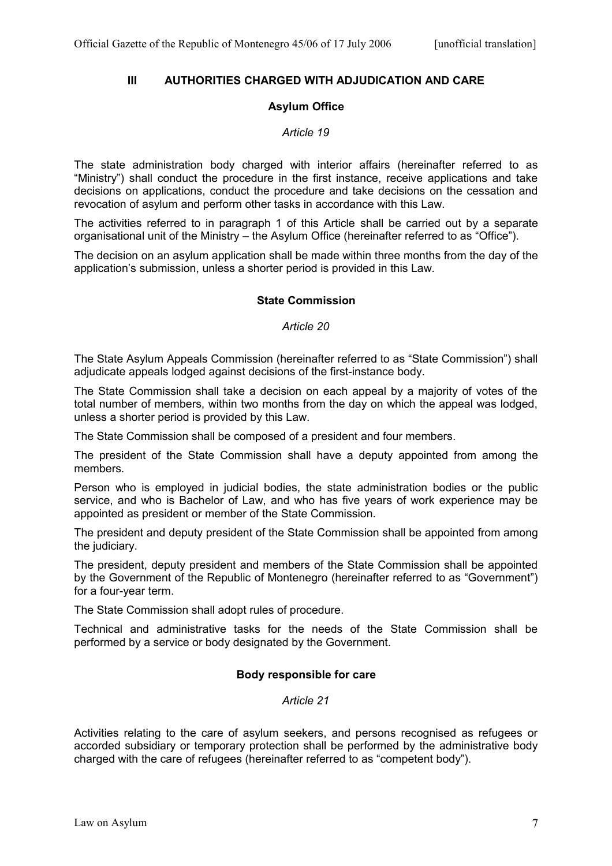## **III AUTHORITIES CHARGED WITH ADJUDICATION AND CARE**

# **Asylum Office**

### *Article 19*

The state administration body charged with interior affairs (hereinafter referred to as "Ministry") shall conduct the procedure in the first instance, receive applications and take decisions on applications, conduct the procedure and take decisions on the cessation and revocation of asylum and perform other tasks in accordance with this Law.

The activities referred to in paragraph 1 of this Article shall be carried out by a separate organisational unit of the Ministry – the Asylum Office (hereinafter referred to as "Office").

The decision on an asylum application shall be made within three months from the day of the application's submission, unless a shorter period is provided in this Law.

## **State Commission**

*Article 20*

The State Asylum Appeals Commission (hereinafter referred to as "State Commission") shall adjudicate appeals lodged against decisions of the first-instance body.

The State Commission shall take a decision on each appeal by a majority of votes of the total number of members, within two months from the day on which the appeal was lodged, unless a shorter period is provided by this Law.

The State Commission shall be composed of a president and four members.

The president of the State Commission shall have a deputy appointed from among the members.

Person who is employed in judicial bodies, the state administration bodies or the public service, and who is Bachelor of Law, and who has five years of work experience may be appointed as president or member of the State Commission.

The president and deputy president of the State Commission shall be appointed from among the judiciary.

The president, deputy president and members of the State Commission shall be appointed by the Government of the Republic of Montenegro (hereinafter referred to as "Government") for a four-year term.

The State Commission shall adopt rules of procedure.

Technical and administrative tasks for the needs of the State Commission shall be performed by a service or body designated by the Government.

## **Body responsible for care**

#### *Article 21*

Activities relating to the care of asylum seekers, and persons recognised as refugees or accorded subsidiary or temporary protection shall be performed by the administrative body charged with the care of refugees (hereinafter referred to as "competent body").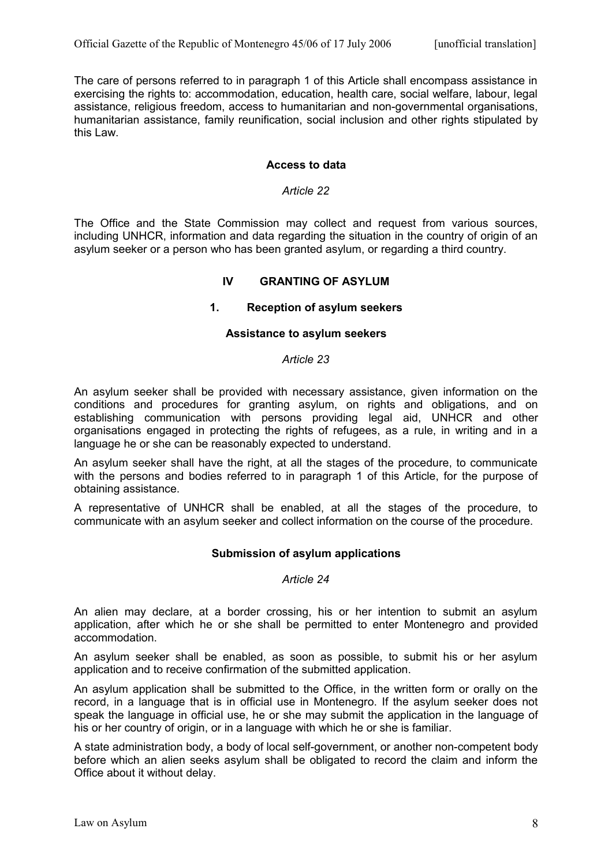The care of persons referred to in paragraph 1 of this Article shall encompass assistance in exercising the rights to: accommodation, education, health care, social welfare, labour, legal assistance, religious freedom, access to humanitarian and non-governmental organisations, humanitarian assistance, family reunification, social inclusion and other rights stipulated by this Law.

## **Access to data**

#### *Article 22*

The Office and the State Commission may collect and request from various sources, including UNHCR, information and data regarding the situation in the country of origin of an asylum seeker or a person who has been granted asylum, or regarding a third country.

## **IV GRANTING OF ASYLUM**

### **1. Reception of asylum seekers**

### **Assistance to asylum seekers**

#### *Article 23*

An asylum seeker shall be provided with necessary assistance, given information on the conditions and procedures for granting asylum, on rights and obligations, and on establishing communication with persons providing legal aid, UNHCR and other organisations engaged in protecting the rights of refugees, as a rule, in writing and in a language he or she can be reasonably expected to understand.

An asylum seeker shall have the right, at all the stages of the procedure, to communicate with the persons and bodies referred to in paragraph 1 of this Article, for the purpose of obtaining assistance.

A representative of UNHCR shall be enabled, at all the stages of the procedure, to communicate with an asylum seeker and collect information on the course of the procedure.

## **Submission of asylum applications**

## *Article 24*

An alien may declare, at a border crossing, his or her intention to submit an asylum application, after which he or she shall be permitted to enter Montenegro and provided accommodation.

An asylum seeker shall be enabled, as soon as possible, to submit his or her asylum application and to receive confirmation of the submitted application.

An asylum application shall be submitted to the Office, in the written form or orally on the record, in a language that is in official use in Montenegro. If the asylum seeker does not speak the language in official use, he or she may submit the application in the language of his or her country of origin, or in a language with which he or she is familiar.

A state administration body, a body of local self-government, or another non-competent body before which an alien seeks asylum shall be obligated to record the claim and inform the Office about it without delay.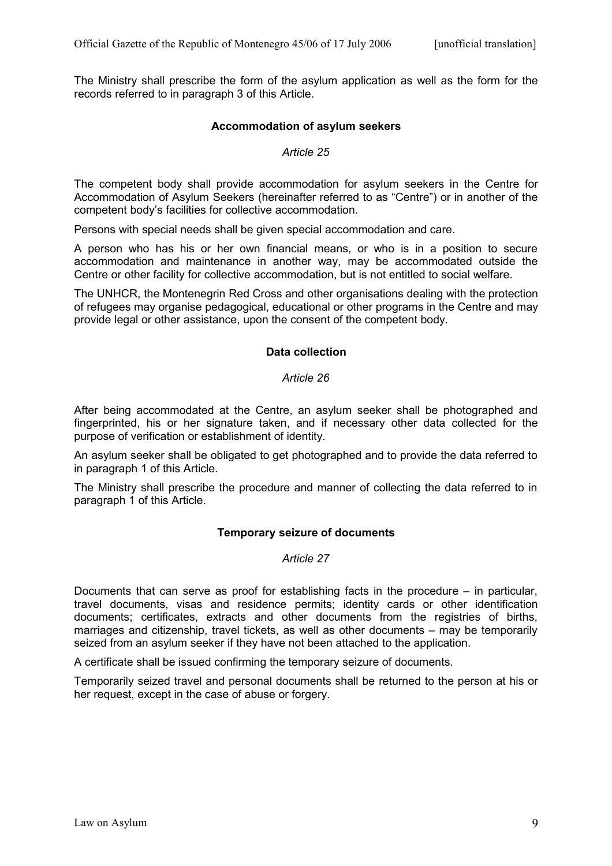The Ministry shall prescribe the form of the asylum application as well as the form for the records referred to in paragraph 3 of this Article.

## **Accommodation of asylum seekers**

## *Article 25*

The competent body shall provide accommodation for asylum seekers in the Centre for Accommodation of Asylum Seekers (hereinafter referred to as "Centre") or in another of the competent body's facilities for collective accommodation.

Persons with special needs shall be given special accommodation and care.

A person who has his or her own financial means, or who is in a position to secure accommodation and maintenance in another way, may be accommodated outside the Centre or other facility for collective accommodation, but is not entitled to social welfare.

The UNHCR, the Montenegrin Red Cross and other organisations dealing with the protection of refugees may organise pedagogical, educational or other programs in the Centre and may provide legal or other assistance, upon the consent of the competent body.

## **Data collection**

## *Article 26*

After being accommodated at the Centre, an asylum seeker shall be photographed and fingerprinted, his or her signature taken, and if necessary other data collected for the purpose of verification or establishment of identity.

An asylum seeker shall be obligated to get photographed and to provide the data referred to in paragraph 1 of this Article.

The Ministry shall prescribe the procedure and manner of collecting the data referred to in paragraph 1 of this Article.

## **Temporary seizure of documents**

#### *Article 27*

Documents that can serve as proof for establishing facts in the procedure – in particular, travel documents, visas and residence permits; identity cards or other identification documents; certificates, extracts and other documents from the registries of births, marriages and citizenship, travel tickets, as well as other documents – may be temporarily seized from an asylum seeker if they have not been attached to the application.

A certificate shall be issued confirming the temporary seizure of documents.

Temporarily seized travel and personal documents shall be returned to the person at his or her request, except in the case of abuse or forgery.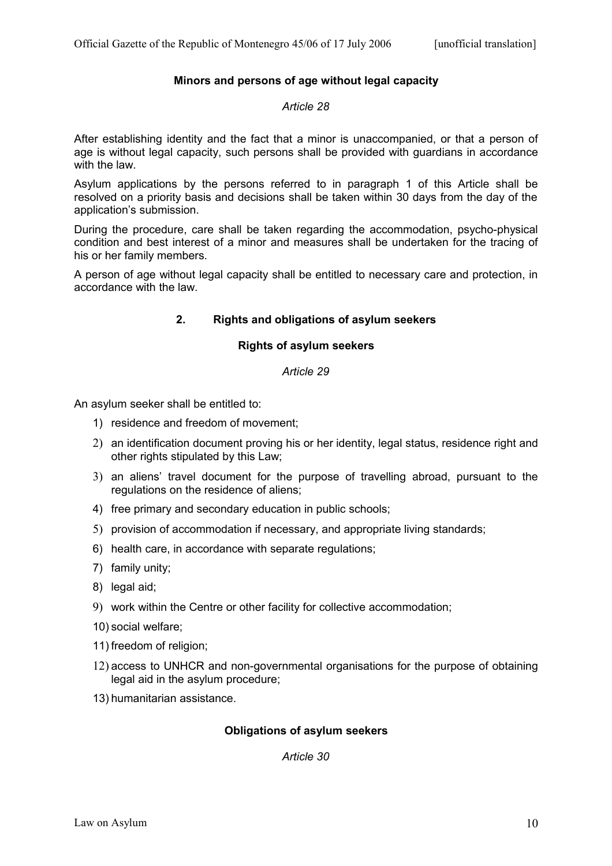# **Minors and persons of age without legal capacity**

#### *Article 28*

After establishing identity and the fact that a minor is unaccompanied, or that a person of age is without legal capacity, such persons shall be provided with guardians in accordance with the law.

Asylum applications by the persons referred to in paragraph 1 of this Article shall be resolved on a priority basis and decisions shall be taken within 30 days from the day of the application's submission.

During the procedure, care shall be taken regarding the accommodation, psycho-physical condition and best interest of a minor and measures shall be undertaken for the tracing of his or her family members.

A person of age without legal capacity shall be entitled to necessary care and protection, in accordance with the law.

# **2. Rights and obligations of asylum seekers**

## **Rights of asylum seekers**

## *Article 29*

An asylum seeker shall be entitled to:

- 1) residence and freedom of movement;
- 2) an identification document proving his or her identity, legal status, residence right and other rights stipulated by this Law;
- 3) an aliens' travel document for the purpose of travelling abroad, pursuant to the regulations on the residence of aliens;
- 4) free primary and secondary education in public schools;
- 5) provision of accommodation if necessary, and appropriate living standards;
- 6) health care, in accordance with separate regulations;
- 7) family unity;
- 8) legal aid;
- 9) work within the Centre or other facility for collective accommodation;
- 10) social welfare;
- 11) freedom of religion;
- 12) access to UNHCR and non-governmental organisations for the purpose of obtaining legal aid in the asylum procedure;
- 13) humanitarian assistance.

## **Obligations of asylum seekers**

*Article 30*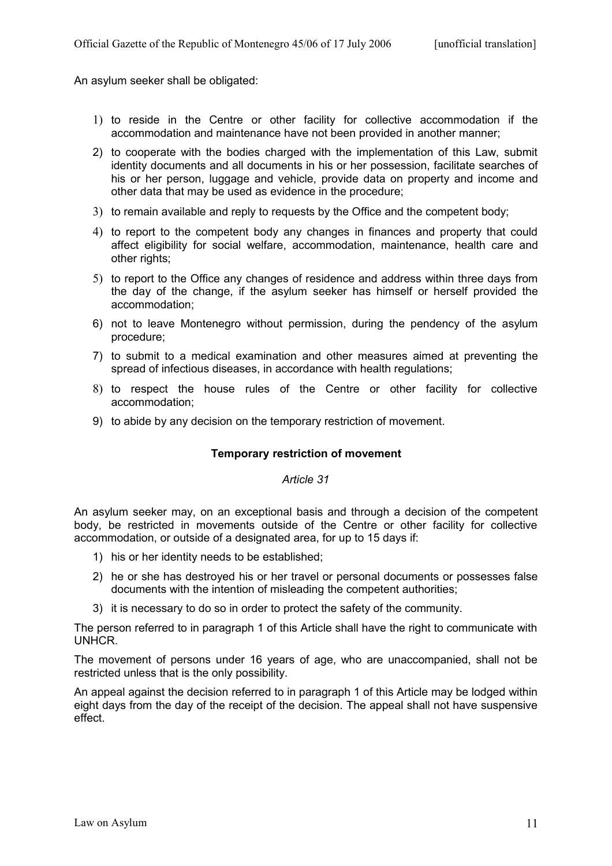An asylum seeker shall be obligated:

- 1) to reside in the Centre or other facility for collective accommodation if the accommodation and maintenance have not been provided in another manner;
- 2) to cooperate with the bodies charged with the implementation of this Law, submit identity documents and all documents in his or her possession, facilitate searches of his or her person, luggage and vehicle, provide data on property and income and other data that may be used as evidence in the procedure;
- 3) to remain available and reply to requests by the Office and the competent body;
- 4) to report to the competent body any changes in finances and property that could affect eligibility for social welfare, accommodation, maintenance, health care and other rights;
- 5) to report to the Office any changes of residence and address within three days from the day of the change, if the asylum seeker has himself or herself provided the accommodation;
- 6) not to leave Montenegro without permission, during the pendency of the asylum procedure;
- 7) to submit to a medical examination and other measures aimed at preventing the spread of infectious diseases, in accordance with health regulations;
- 8) to respect the house rules of the Centre or other facility for collective accommodation;
- 9) to abide by any decision on the temporary restriction of movement.

## **Temporary restriction of movement**

*Article 31*

An asylum seeker may, on an exceptional basis and through a decision of the competent body, be restricted in movements outside of the Centre or other facility for collective accommodation, or outside of a designated area, for up to 15 days if:

- 1) his or her identity needs to be established;
- 2) he or she has destroyed his or her travel or personal documents or possesses false documents with the intention of misleading the competent authorities;
- 3) it is necessary to do so in order to protect the safety of the community.

The person referred to in paragraph 1 of this Article shall have the right to communicate with UNHCR.

The movement of persons under 16 years of age, who are unaccompanied, shall not be restricted unless that is the only possibility.

An appeal against the decision referred to in paragraph 1 of this Article may be lodged within eight days from the day of the receipt of the decision. The appeal shall not have suspensive effect.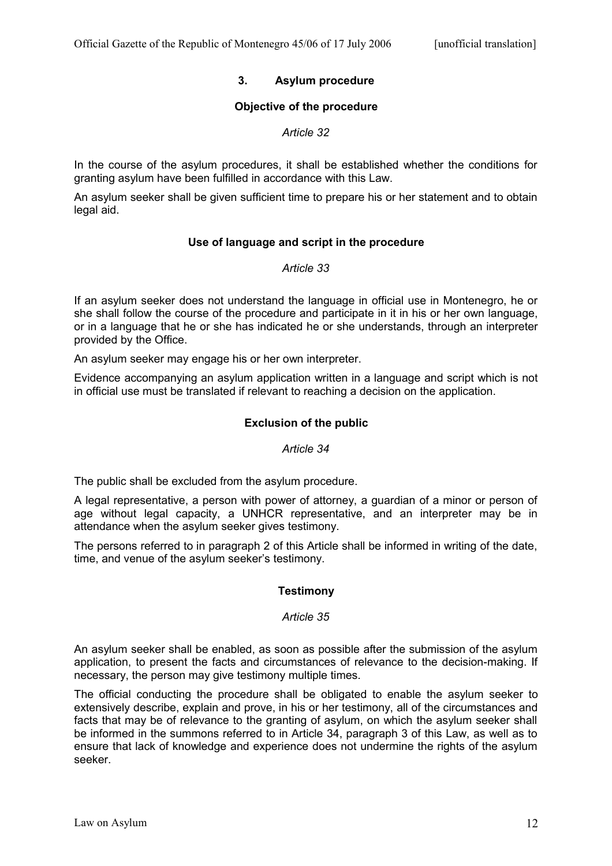# **3. Asylum procedure**

# **Objective of the procedure**

# *Article 32*

In the course of the asylum procedures, it shall be established whether the conditions for granting asylum have been fulfilled in accordance with this Law.

An asylum seeker shall be given sufficient time to prepare his or her statement and to obtain legal aid.

# **Use of language and script in the procedure**

## *Article 33*

If an asylum seeker does not understand the language in official use in Montenegro, he or she shall follow the course of the procedure and participate in it in his or her own language, or in a language that he or she has indicated he or she understands, through an interpreter provided by the Office.

An asylum seeker may engage his or her own interpreter.

Evidence accompanying an asylum application written in a language and script which is not in official use must be translated if relevant to reaching a decision on the application.

# **Exclusion of the public**

## *Article 34*

The public shall be excluded from the asylum procedure.

A legal representative, a person with power of attorney, a guardian of a minor or person of age without legal capacity, a UNHCR representative, and an interpreter may be in attendance when the asylum seeker gives testimony.

The persons referred to in paragraph 2 of this Article shall be informed in writing of the date, time, and venue of the asylum seeker's testimony.

## **Testimony**

## *Article 35*

An asylum seeker shall be enabled, as soon as possible after the submission of the asylum application, to present the facts and circumstances of relevance to the decision-making. If necessary, the person may give testimony multiple times.

The official conducting the procedure shall be obligated to enable the asylum seeker to extensively describe, explain and prove, in his or her testimony, all of the circumstances and facts that may be of relevance to the granting of asylum, on which the asylum seeker shall be informed in the summons referred to in Article 34, paragraph 3 of this Law, as well as to ensure that lack of knowledge and experience does not undermine the rights of the asylum seeker.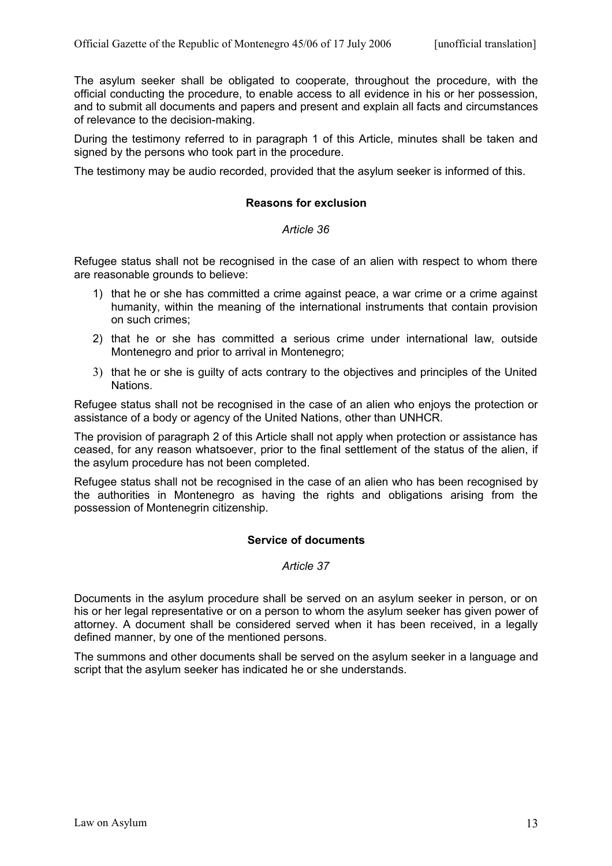The asylum seeker shall be obligated to cooperate, throughout the procedure, with the official conducting the procedure, to enable access to all evidence in his or her possession, and to submit all documents and papers and present and explain all facts and circumstances of relevance to the decision-making.

During the testimony referred to in paragraph 1 of this Article, minutes shall be taken and signed by the persons who took part in the procedure.

The testimony may be audio recorded, provided that the asylum seeker is informed of this.

### **Reasons for exclusion**

### *Article 36*

Refugee status shall not be recognised in the case of an alien with respect to whom there are reasonable grounds to believe:

- 1) that he or she has committed a crime against peace, a war crime or a crime against humanity, within the meaning of the international instruments that contain provision on such crimes;
- 2) that he or she has committed a serious crime under international law, outside Montenegro and prior to arrival in Montenegro;
- 3) that he or she is guilty of acts contrary to the objectives and principles of the United Nations.

Refugee status shall not be recognised in the case of an alien who enjoys the protection or assistance of a body or agency of the United Nations, other than UNHCR.

The provision of paragraph 2 of this Article shall not apply when protection or assistance has ceased, for any reason whatsoever, prior to the final settlement of the status of the alien, if the asylum procedure has not been completed.

Refugee status shall not be recognised in the case of an alien who has been recognised by the authorities in Montenegro as having the rights and obligations arising from the possession of Montenegrin citizenship.

## **Service of documents**

## *Article 37*

Documents in the asylum procedure shall be served on an asylum seeker in person, or on his or her legal representative or on a person to whom the asylum seeker has given power of attorney. A document shall be considered served when it has been received, in a legally defined manner, by one of the mentioned persons.

The summons and other documents shall be served on the asylum seeker in a language and script that the asylum seeker has indicated he or she understands.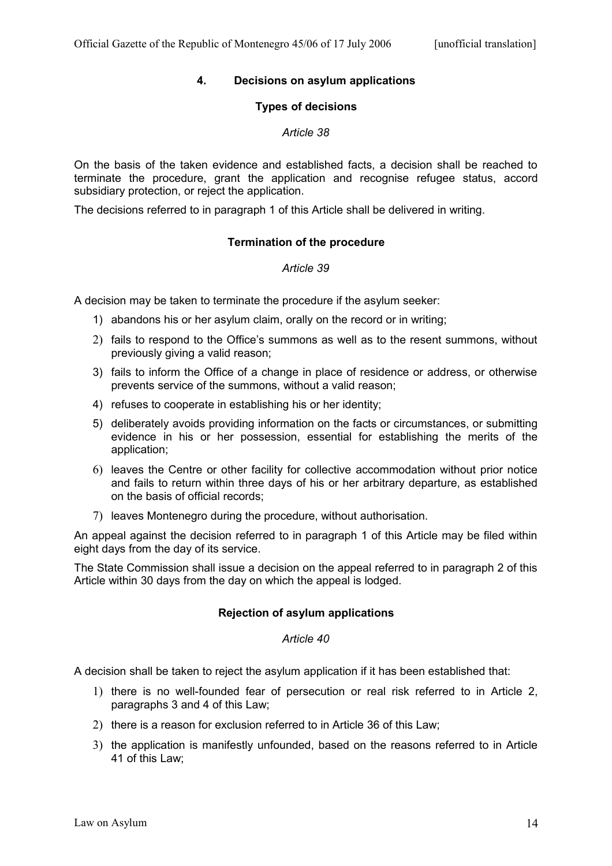# **4. Decisions on asylum applications**

## **Types of decisions**

### *Article 38*

On the basis of the taken evidence and established facts, a decision shall be reached to terminate the procedure, grant the application and recognise refugee status, accord subsidiary protection, or reject the application.

The decisions referred to in paragraph 1 of this Article shall be delivered in writing.

## **Termination of the procedure**

### *Article 39*

A decision may be taken to terminate the procedure if the asylum seeker:

- 1) abandons his or her asylum claim, orally on the record or in writing;
- 2) fails to respond to the Office's summons as well as to the resent summons, without previously giving a valid reason;
- 3) fails to inform the Office of a change in place of residence or address, or otherwise prevents service of the summons, without a valid reason;
- 4) refuses to cooperate in establishing his or her identity;
- 5) deliberately avoids providing information on the facts or circumstances, or submitting evidence in his or her possession, essential for establishing the merits of the application;
- 6) leaves the Centre or other facility for collective accommodation without prior notice and fails to return within three days of his or her arbitrary departure, as established on the basis of official records;
- 7) leaves Montenegro during the procedure, without authorisation.

An appeal against the decision referred to in paragraph 1 of this Article may be filed within eight days from the day of its service.

The State Commission shall issue a decision on the appeal referred to in paragraph 2 of this Article within 30 days from the day on which the appeal is lodged.

## **Rejection of asylum applications**

#### *Article 40*

A decision shall be taken to reject the asylum application if it has been established that:

- 1) there is no well-founded fear of persecution or real risk referred to in Article 2, paragraphs 3 and 4 of this Law;
- 2) there is a reason for exclusion referred to in Article 36 of this Law;
- 3) the application is manifestly unfounded, based on the reasons referred to in Article 41 of this Law;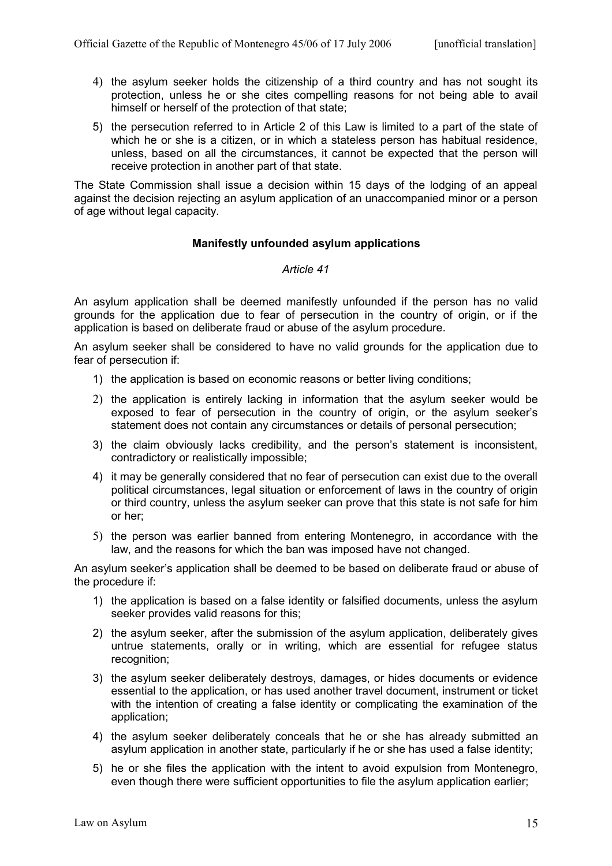- 4) the asylum seeker holds the citizenship of a third country and has not sought its protection, unless he or she cites compelling reasons for not being able to avail himself or herself of the protection of that state;
- 5) the persecution referred to in Article 2 of this Law is limited to a part of the state of which he or she is a citizen, or in which a stateless person has habitual residence, unless, based on all the circumstances, it cannot be expected that the person will receive protection in another part of that state.

The State Commission shall issue a decision within 15 days of the lodging of an appeal against the decision rejecting an asylum application of an unaccompanied minor or a person of age without legal capacity.

## **Manifestly unfounded asylum applications**

### *Article 41*

An asylum application shall be deemed manifestly unfounded if the person has no valid grounds for the application due to fear of persecution in the country of origin, or if the application is based on deliberate fraud or abuse of the asylum procedure.

An asylum seeker shall be considered to have no valid grounds for the application due to fear of persecution if:

- 1) the application is based on economic reasons or better living conditions;
- 2) the application is entirely lacking in information that the asylum seeker would be exposed to fear of persecution in the country of origin, or the asylum seeker's statement does not contain any circumstances or details of personal persecution;
- 3) the claim obviously lacks credibility, and the person's statement is inconsistent, contradictory or realistically impossible;
- 4) it may be generally considered that no fear of persecution can exist due to the overall political circumstances, legal situation or enforcement of laws in the country of origin or third country, unless the asylum seeker can prove that this state is not safe for him or her;
- 5) the person was earlier banned from entering Montenegro, in accordance with the law, and the reasons for which the ban was imposed have not changed.

An asylum seeker's application shall be deemed to be based on deliberate fraud or abuse of the procedure if:

- 1) the application is based on a false identity or falsified documents, unless the asylum seeker provides valid reasons for this;
- 2) the asylum seeker, after the submission of the asylum application, deliberately gives untrue statements, orally or in writing, which are essential for refugee status recognition;
- 3) the asylum seeker deliberately destroys, damages, or hides documents or evidence essential to the application, or has used another travel document, instrument or ticket with the intention of creating a false identity or complicating the examination of the application;
- 4) the asylum seeker deliberately conceals that he or she has already submitted an asylum application in another state, particularly if he or she has used a false identity;
- 5) he or she files the application with the intent to avoid expulsion from Montenegro, even though there were sufficient opportunities to file the asylum application earlier;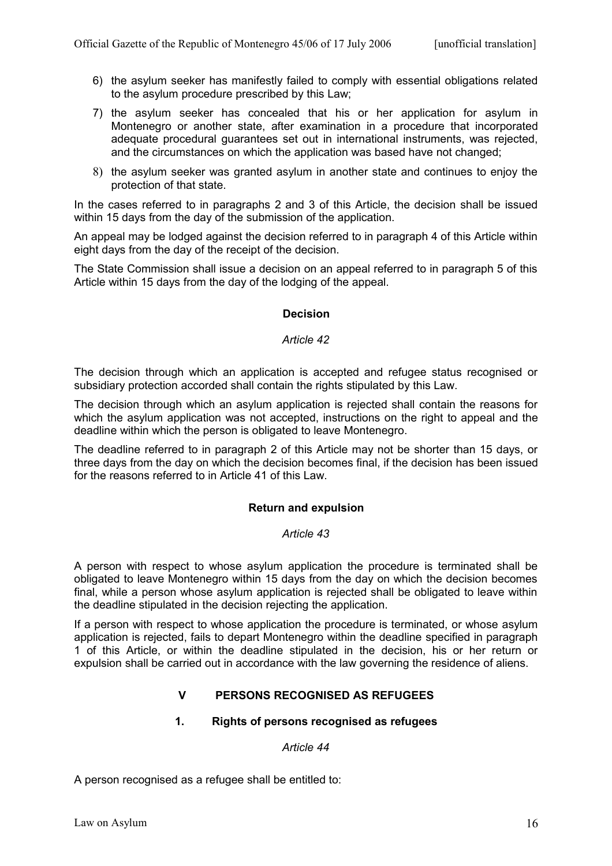- 6) the asylum seeker has manifestly failed to comply with essential obligations related to the asylum procedure prescribed by this Law;
- 7) the asylum seeker has concealed that his or her application for asylum in Montenegro or another state, after examination in a procedure that incorporated adequate procedural guarantees set out in international instruments, was rejected, and the circumstances on which the application was based have not changed;
- 8) the asylum seeker was granted asylum in another state and continues to enjoy the protection of that state.

In the cases referred to in paragraphs 2 and 3 of this Article, the decision shall be issued within 15 days from the day of the submission of the application.

An appeal may be lodged against the decision referred to in paragraph 4 of this Article within eight days from the day of the receipt of the decision.

The State Commission shall issue a decision on an appeal referred to in paragraph 5 of this Article within 15 days from the day of the lodging of the appeal.

# **Decision**

### *Article 42*

The decision through which an application is accepted and refugee status recognised or subsidiary protection accorded shall contain the rights stipulated by this Law.

The decision through which an asylum application is rejected shall contain the reasons for which the asylum application was not accepted, instructions on the right to appeal and the deadline within which the person is obligated to leave Montenegro.

The deadline referred to in paragraph 2 of this Article may not be shorter than 15 days, or three days from the day on which the decision becomes final, if the decision has been issued for the reasons referred to in Article 41 of this Law.

## **Return and expulsion**

#### *Article 43*

A person with respect to whose asylum application the procedure is terminated shall be obligated to leave Montenegro within 15 days from the day on which the decision becomes final, while a person whose asylum application is rejected shall be obligated to leave within the deadline stipulated in the decision rejecting the application.

If a person with respect to whose application the procedure is terminated, or whose asylum application is rejected, fails to depart Montenegro within the deadline specified in paragraph 1 of this Article, or within the deadline stipulated in the decision, his or her return or expulsion shall be carried out in accordance with the law governing the residence of aliens.

# **V PERSONS RECOGNISED AS REFUGEES**

## **1. Rights of persons recognised as refugees**

#### *Article 44*

A person recognised as a refugee shall be entitled to: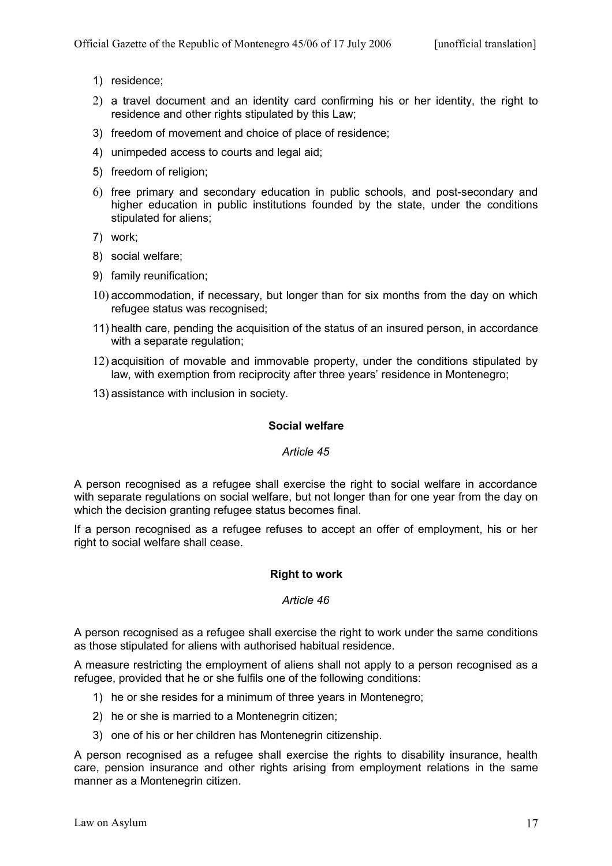- 1) residence;
- 2) a travel document and an identity card confirming his or her identity, the right to residence and other rights stipulated by this Law;
- 3) freedom of movement and choice of place of residence;
- 4) unimpeded access to courts and legal aid;
- 5) freedom of religion;
- 6) free primary and secondary education in public schools, and post-secondary and higher education in public institutions founded by the state, under the conditions stipulated for aliens;
- 7) work;
- 8) social welfare;
- 9) family reunification;
- 10) accommodation, if necessary, but longer than for six months from the day on which refugee status was recognised;
- 11) health care, pending the acquisition of the status of an insured person, in accordance with a separate regulation;
- 12) acquisition of movable and immovable property, under the conditions stipulated by law, with exemption from reciprocity after three years' residence in Montenegro;
- 13) assistance with inclusion in society.

# **Social welfare**

## *Article 45*

A person recognised as a refugee shall exercise the right to social welfare in accordance with separate regulations on social welfare, but not longer than for one year from the day on which the decision granting refugee status becomes final.

If a person recognised as a refugee refuses to accept an offer of employment, his or her right to social welfare shall cease.

## **Right to work**

## *Article 46*

A person recognised as a refugee shall exercise the right to work under the same conditions as those stipulated for aliens with authorised habitual residence.

A measure restricting the employment of aliens shall not apply to a person recognised as a refugee, provided that he or she fulfils one of the following conditions:

- 1) he or she resides for a minimum of three years in Montenegro;
- 2) he or she is married to a Montenegrin citizen;
- 3) one of his or her children has Montenegrin citizenship.

A person recognised as a refugee shall exercise the rights to disability insurance, health care, pension insurance and other rights arising from employment relations in the same manner as a Montenegrin citizen.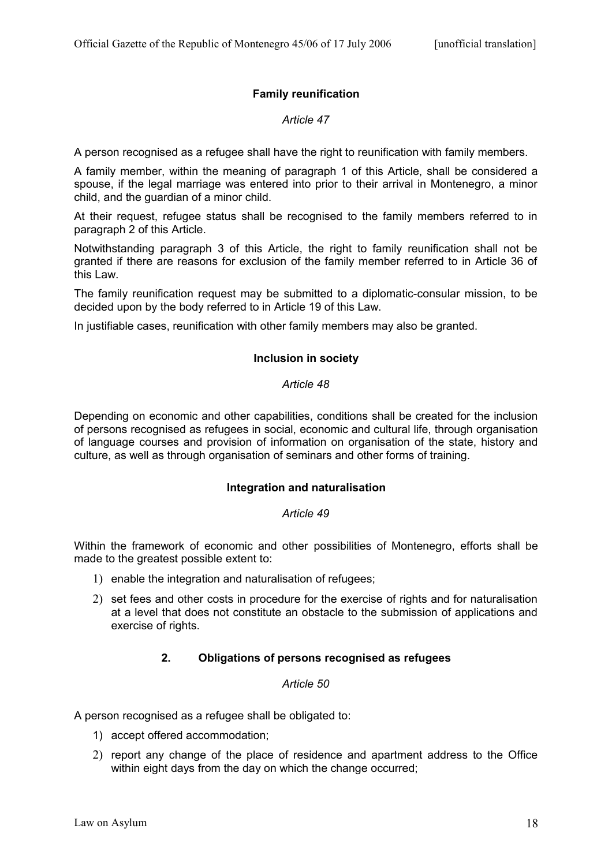# **Family reunification**

# *Article 47*

A person recognised as a refugee shall have the right to reunification with family members.

A family member, within the meaning of paragraph 1 of this Article, shall be considered a spouse, if the legal marriage was entered into prior to their arrival in Montenegro, a minor child, and the guardian of a minor child.

At their request, refugee status shall be recognised to the family members referred to in paragraph 2 of this Article.

Notwithstanding paragraph 3 of this Article, the right to family reunification shall not be granted if there are reasons for exclusion of the family member referred to in Article 36 of this Law.

The family reunification request may be submitted to a diplomatic-consular mission, to be decided upon by the body referred to in Article 19 of this Law.

In justifiable cases, reunification with other family members may also be granted.

## **Inclusion in society**

## *Article 48*

Depending on economic and other capabilities, conditions shall be created for the inclusion of persons recognised as refugees in social, economic and cultural life, through organisation of language courses and provision of information on organisation of the state, history and culture, as well as through organisation of seminars and other forms of training.

## **Integration and naturalisation**

## *Article 49*

Within the framework of economic and other possibilities of Montenegro, efforts shall be made to the greatest possible extent to:

- 1) enable the integration and naturalisation of refugees;
- 2) set fees and other costs in procedure for the exercise of rights and for naturalisation at a level that does not constitute an obstacle to the submission of applications and exercise of rights.

# **2. Obligations of persons recognised as refugees**

## *Article 50*

A person recognised as a refugee shall be obligated to:

- 1) accept offered accommodation;
- 2) report any change of the place of residence and apartment address to the Office within eight days from the day on which the change occurred;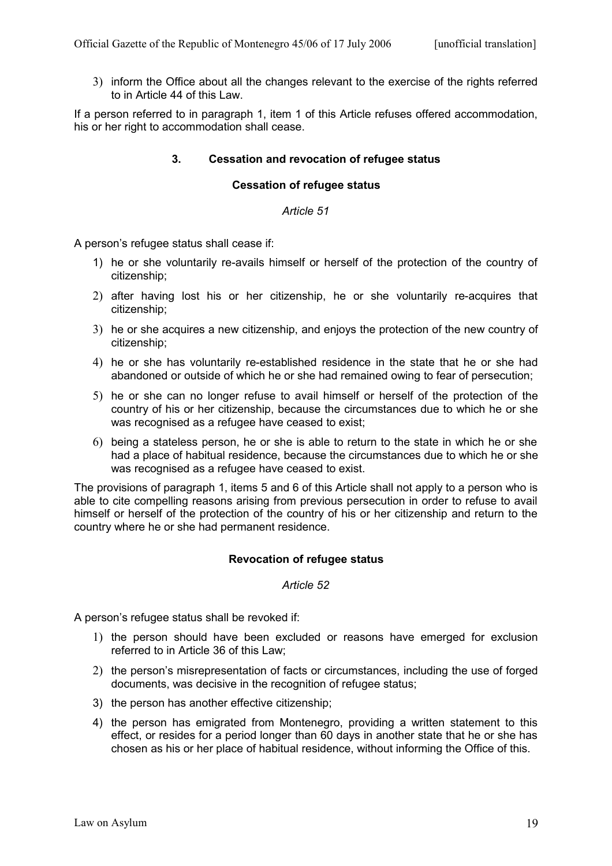3) inform the Office about all the changes relevant to the exercise of the rights referred to in Article 44 of this Law.

If a person referred to in paragraph 1, item 1 of this Article refuses offered accommodation, his or her right to accommodation shall cease.

## **3. Cessation and revocation of refugee status**

## **Cessation of refugee status**

#### *Article 51*

A person's refugee status shall cease if:

- 1) he or she voluntarily re-avails himself or herself of the protection of the country of citizenship;
- 2) after having lost his or her citizenship, he or she voluntarily re-acquires that citizenship;
- 3) he or she acquires a new citizenship, and enjoys the protection of the new country of citizenship;
- 4) he or she has voluntarily re-established residence in the state that he or she had abandoned or outside of which he or she had remained owing to fear of persecution;
- 5) he or she can no longer refuse to avail himself or herself of the protection of the country of his or her citizenship, because the circumstances due to which he or she was recognised as a refugee have ceased to exist;
- 6) being a stateless person, he or she is able to return to the state in which he or she had a place of habitual residence, because the circumstances due to which he or she was recognised as a refugee have ceased to exist.

The provisions of paragraph 1, items 5 and 6 of this Article shall not apply to a person who is able to cite compelling reasons arising from previous persecution in order to refuse to avail himself or herself of the protection of the country of his or her citizenship and return to the country where he or she had permanent residence.

## **Revocation of refugee status**

#### *Article 52*

A person's refugee status shall be revoked if:

- 1) the person should have been excluded or reasons have emerged for exclusion referred to in Article 36 of this Law;
- 2) the person's misrepresentation of facts or circumstances, including the use of forged documents, was decisive in the recognition of refugee status;
- 3) the person has another effective citizenship;
- 4) the person has emigrated from Montenegro, providing a written statement to this effect, or resides for a period longer than 60 days in another state that he or she has chosen as his or her place of habitual residence, without informing the Office of this.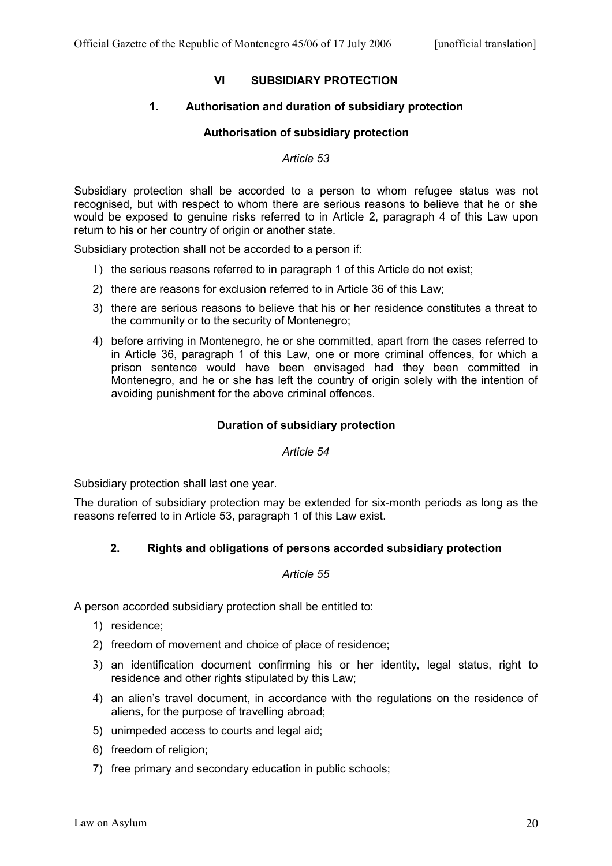# **VI SUBSIDIARY PROTECTION**

## **1. Authorisation and duration of subsidiary protection**

### **Authorisation of subsidiary protection**

#### *Article 53*

Subsidiary protection shall be accorded to a person to whom refugee status was not recognised, but with respect to whom there are serious reasons to believe that he or she would be exposed to genuine risks referred to in Article 2, paragraph 4 of this Law upon return to his or her country of origin or another state.

Subsidiary protection shall not be accorded to a person if:

- 1) the serious reasons referred to in paragraph 1 of this Article do not exist;
- 2) there are reasons for exclusion referred to in Article 36 of this Law;
- 3) there are serious reasons to believe that his or her residence constitutes a threat to the community or to the security of Montenegro;
- 4) before arriving in Montenegro, he or she committed, apart from the cases referred to in Article 36, paragraph 1 of this Law, one or more criminal offences, for which a prison sentence would have been envisaged had they been committed in Montenegro, and he or she has left the country of origin solely with the intention of avoiding punishment for the above criminal offences.

## **Duration of subsidiary protection**

#### *Article 54*

Subsidiary protection shall last one year.

The duration of subsidiary protection may be extended for six-month periods as long as the reasons referred to in Article 53, paragraph 1 of this Law exist.

## **2. Rights and obligations of persons accorded subsidiary protection**

#### *Article 55*

A person accorded subsidiary protection shall be entitled to:

- 1) residence;
- 2) freedom of movement and choice of place of residence;
- 3) an identification document confirming his or her identity, legal status, right to residence and other rights stipulated by this Law:
- 4) an alien's travel document, in accordance with the regulations on the residence of aliens, for the purpose of travelling abroad;
- 5) unimpeded access to courts and legal aid;
- 6) freedom of religion;
- 7) free primary and secondary education in public schools;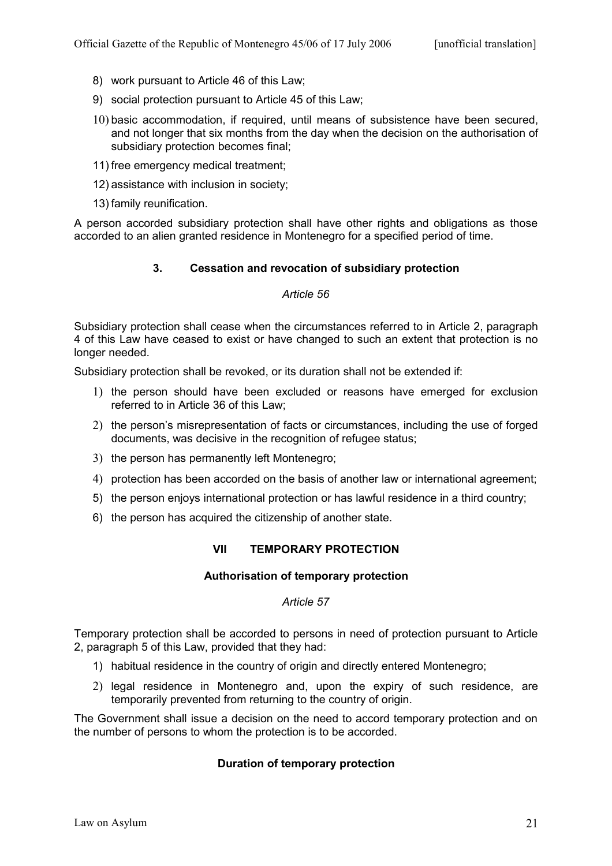- 8) work pursuant to Article 46 of this Law;
- 9) social protection pursuant to Article 45 of this Law;
- 10) basic accommodation, if required, until means of subsistence have been secured, and not longer that six months from the day when the decision on the authorisation of subsidiary protection becomes final;
- 11) free emergency medical treatment;
- 12) assistance with inclusion in society;
- 13) family reunification.

A person accorded subsidiary protection shall have other rights and obligations as those accorded to an alien granted residence in Montenegro for a specified period of time.

# **3. Cessation and revocation of subsidiary protection**

# *Article 56*

Subsidiary protection shall cease when the circumstances referred to in Article 2, paragraph 4 of this Law have ceased to exist or have changed to such an extent that protection is no longer needed.

Subsidiary protection shall be revoked, or its duration shall not be extended if:

- 1) the person should have been excluded or reasons have emerged for exclusion referred to in Article 36 of this Law;
- 2) the person's misrepresentation of facts or circumstances, including the use of forged documents, was decisive in the recognition of refugee status;
- 3) the person has permanently left Montenegro;
- 4) protection has been accorded on the basis of another law or international agreement;
- 5) the person enjoys international protection or has lawful residence in a third country;
- 6) the person has acquired the citizenship of another state.

# **VII TEMPORARY PROTECTION**

## **Authorisation of temporary protection**

## *Article 57*

Temporary protection shall be accorded to persons in need of protection pursuant to Article 2, paragraph 5 of this Law, provided that they had:

- 1) habitual residence in the country of origin and directly entered Montenegro;
- 2) legal residence in Montenegro and, upon the expiry of such residence, are temporarily prevented from returning to the country of origin.

The Government shall issue a decision on the need to accord temporary protection and on the number of persons to whom the protection is to be accorded.

# **Duration of temporary protection**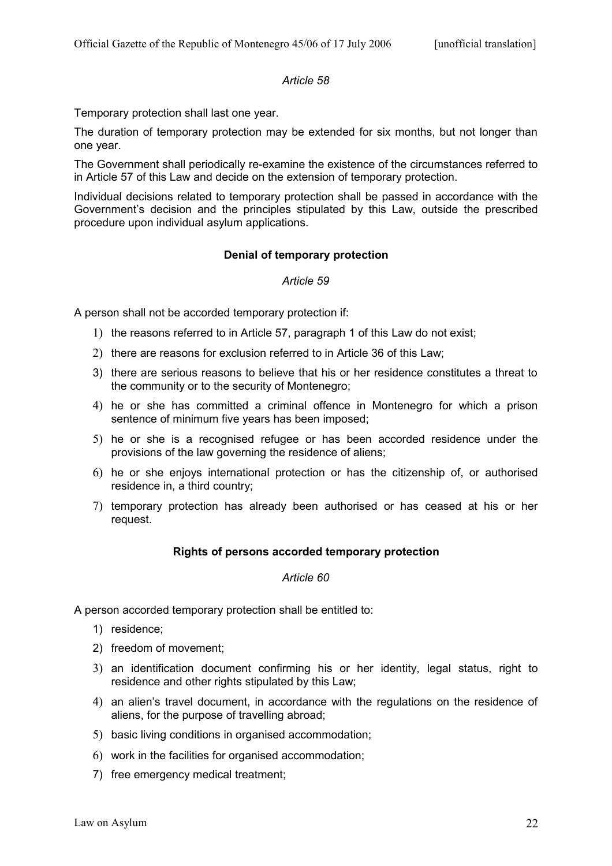# *Article 58*

Temporary protection shall last one year.

The duration of temporary protection may be extended for six months, but not longer than one year.

The Government shall periodically re-examine the existence of the circumstances referred to in Article 57 of this Law and decide on the extension of temporary protection.

Individual decisions related to temporary protection shall be passed in accordance with the Government's decision and the principles stipulated by this Law, outside the prescribed procedure upon individual asylum applications.

## **Denial of temporary protection**

## *Article 59*

A person shall not be accorded temporary protection if:

- 1) the reasons referred to in Article 57, paragraph 1 of this Law do not exist;
- 2) there are reasons for exclusion referred to in Article 36 of this Law;
- 3) there are serious reasons to believe that his or her residence constitutes a threat to the community or to the security of Montenegro;
- 4) he or she has committed a criminal offence in Montenegro for which a prison sentence of minimum five years has been imposed;
- 5) he or she is a recognised refugee or has been accorded residence under the provisions of the law governing the residence of aliens;
- 6) he or she enjoys international protection or has the citizenship of, or authorised residence in, a third country;
- 7) temporary protection has already been authorised or has ceased at his or her request.

## **Rights of persons accorded temporary protection**

#### *Article 60*

A person accorded temporary protection shall be entitled to:

- 1) residence;
- 2) freedom of movement;
- 3) an identification document confirming his or her identity, legal status, right to residence and other rights stipulated by this Law;
- 4) an alien's travel document, in accordance with the regulations on the residence of aliens, for the purpose of travelling abroad;
- 5) basic living conditions in organised accommodation;
- 6) work in the facilities for organised accommodation;
- 7) free emergency medical treatment;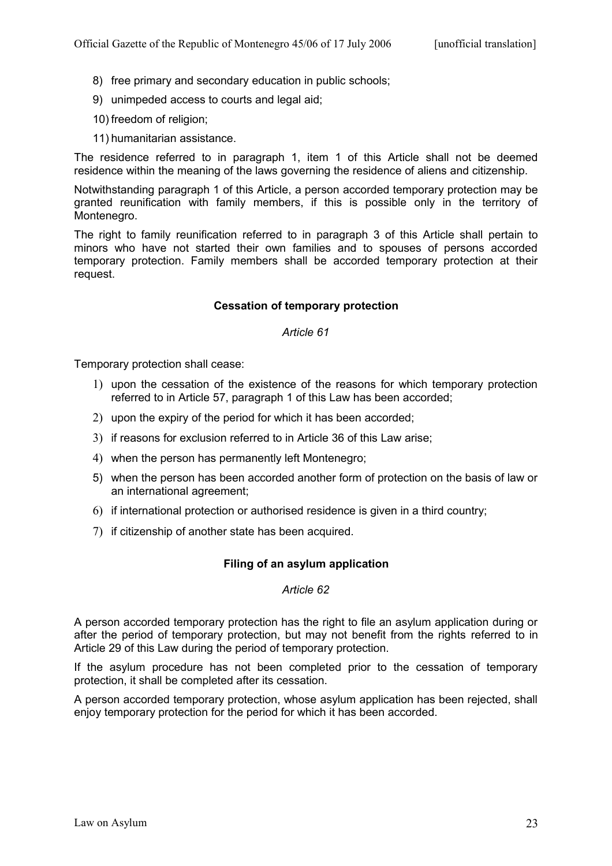- 8) free primary and secondary education in public schools;
- 9) unimpeded access to courts and legal aid;
- 10) freedom of religion;
- 11) humanitarian assistance.

The residence referred to in paragraph 1, item 1 of this Article shall not be deemed residence within the meaning of the laws governing the residence of aliens and citizenship.

Notwithstanding paragraph 1 of this Article, a person accorded temporary protection may be granted reunification with family members, if this is possible only in the territory of Montenegro.

The right to family reunification referred to in paragraph 3 of this Article shall pertain to minors who have not started their own families and to spouses of persons accorded temporary protection. Family members shall be accorded temporary protection at their request.

## **Cessation of temporary protection**

#### *Article 61*

Temporary protection shall cease:

- 1) upon the cessation of the existence of the reasons for which temporary protection referred to in Article 57, paragraph 1 of this Law has been accorded;
- 2) upon the expiry of the period for which it has been accorded;
- 3) if reasons for exclusion referred to in Article 36 of this Law arise;
- 4) when the person has permanently left Montenegro;
- 5) when the person has been accorded another form of protection on the basis of law or an international agreement;
- 6) if international protection or authorised residence is given in a third country;
- 7) if citizenship of another state has been acquired.

## **Filing of an asylum application**

#### *Article 62*

A person accorded temporary protection has the right to file an asylum application during or after the period of temporary protection, but may not benefit from the rights referred to in Article 29 of this Law during the period of temporary protection.

If the asylum procedure has not been completed prior to the cessation of temporary protection, it shall be completed after its cessation.

A person accorded temporary protection, whose asylum application has been rejected, shall enjoy temporary protection for the period for which it has been accorded.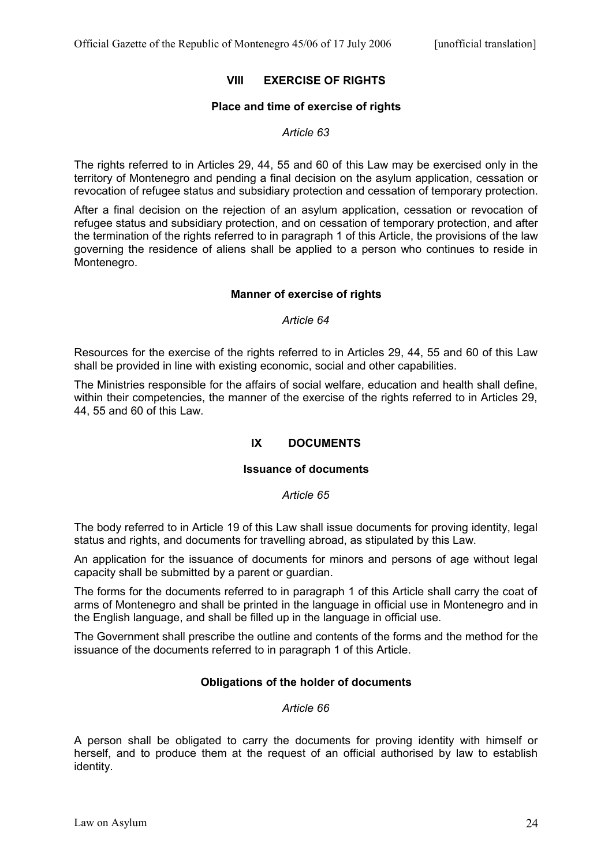## **VIII EXERCISE OF RIGHTS**

#### **Place and time of exercise of rights**

### *Article 63*

The rights referred to in Articles 29, 44, 55 and 60 of this Law may be exercised only in the territory of Montenegro and pending a final decision on the asylum application, cessation or revocation of refugee status and subsidiary protection and cessation of temporary protection.

After a final decision on the rejection of an asylum application, cessation or revocation of refugee status and subsidiary protection, and on cessation of temporary protection, and after the termination of the rights referred to in paragraph 1 of this Article, the provisions of the law governing the residence of aliens shall be applied to a person who continues to reside in Montenegro.

### **Manner of exercise of rights**

#### *Article 64*

Resources for the exercise of the rights referred to in Articles 29, 44, 55 and 60 of this Law shall be provided in line with existing economic, social and other capabilities.

The Ministries responsible for the affairs of social welfare, education and health shall define, within their competencies, the manner of the exercise of the rights referred to in Articles 29, 44, 55 and 60 of this Law.

# **IX DOCUMENTS**

## **Issuance of documents**

#### *Article 65*

The body referred to in Article 19 of this Law shall issue documents for proving identity, legal status and rights, and documents for travelling abroad, as stipulated by this Law.

An application for the issuance of documents for minors and persons of age without legal capacity shall be submitted by a parent or guardian.

The forms for the documents referred to in paragraph 1 of this Article shall carry the coat of arms of Montenegro and shall be printed in the language in official use in Montenegro and in the English language, and shall be filled up in the language in official use.

The Government shall prescribe the outline and contents of the forms and the method for the issuance of the documents referred to in paragraph 1 of this Article.

## **Obligations of the holder of documents**

#### *Article 66*

A person shall be obligated to carry the documents for proving identity with himself or herself, and to produce them at the request of an official authorised by law to establish identity.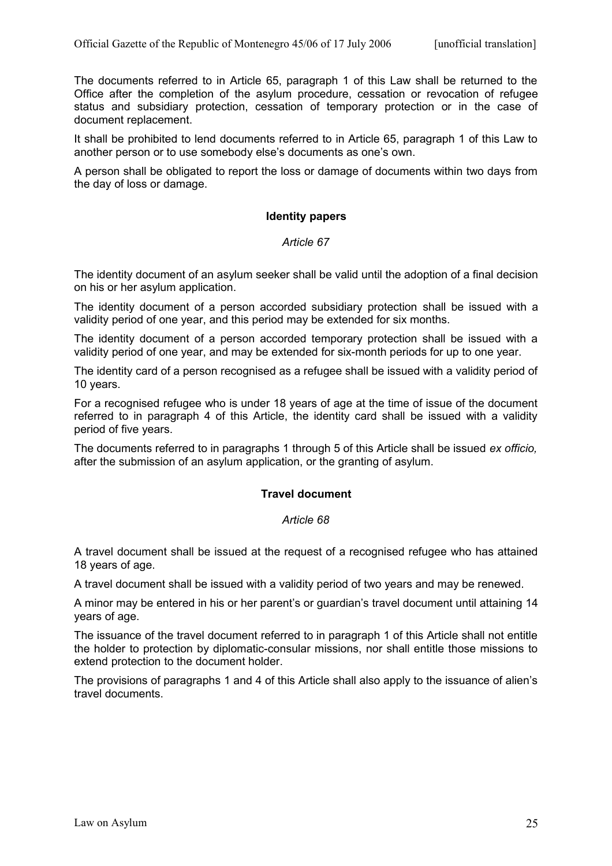The documents referred to in Article 65, paragraph 1 of this Law shall be returned to the Office after the completion of the asylum procedure, cessation or revocation of refugee status and subsidiary protection, cessation of temporary protection or in the case of document replacement.

It shall be prohibited to lend documents referred to in Article 65, paragraph 1 of this Law to another person or to use somebody else's documents as one's own.

A person shall be obligated to report the loss or damage of documents within two days from the day of loss or damage.

### **Identity papers**

### *Article 67*

The identity document of an asylum seeker shall be valid until the adoption of a final decision on his or her asylum application.

The identity document of a person accorded subsidiary protection shall be issued with a validity period of one year, and this period may be extended for six months.

The identity document of a person accorded temporary protection shall be issued with a validity period of one year, and may be extended for six-month periods for up to one year.

The identity card of a person recognised as a refugee shall be issued with a validity period of 10 years.

For a recognised refugee who is under 18 years of age at the time of issue of the document referred to in paragraph 4 of this Article, the identity card shall be issued with a validity period of five years.

The documents referred to in paragraphs 1 through 5 of this Article shall be issued *ex officio,* after the submission of an asylum application, or the granting of asylum.

## **Travel document**

## *Article 68*

A travel document shall be issued at the request of a recognised refugee who has attained 18 years of age.

A travel document shall be issued with a validity period of two years and may be renewed.

A minor may be entered in his or her parent's or guardian's travel document until attaining 14 years of age.

The issuance of the travel document referred to in paragraph 1 of this Article shall not entitle the holder to protection by diplomatic-consular missions, nor shall entitle those missions to extend protection to the document holder.

The provisions of paragraphs 1 and 4 of this Article shall also apply to the issuance of alien's travel documents.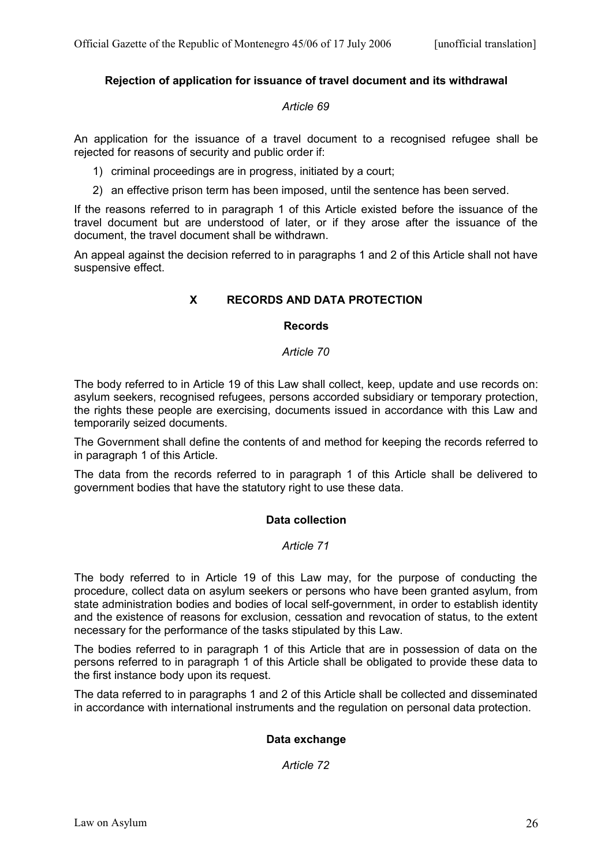## **Rejection of application for issuance of travel document and its withdrawal**

### *Article 69*

An application for the issuance of a travel document to a recognised refugee shall be rejected for reasons of security and public order if:

- 1) criminal proceedings are in progress, initiated by a court;
- 2) an effective prison term has been imposed, until the sentence has been served.

If the reasons referred to in paragraph 1 of this Article existed before the issuance of the travel document but are understood of later, or if they arose after the issuance of the document, the travel document shall be withdrawn.

An appeal against the decision referred to in paragraphs 1 and 2 of this Article shall not have suspensive effect.

# **X RECORDS AND DATA PROTECTION**

### **Records**

### *Article 70*

The body referred to in Article 19 of this Law shall collect, keep, update and use records on: asylum seekers, recognised refugees, persons accorded subsidiary or temporary protection, the rights these people are exercising, documents issued in accordance with this Law and temporarily seized documents.

The Government shall define the contents of and method for keeping the records referred to in paragraph 1 of this Article.

The data from the records referred to in paragraph 1 of this Article shall be delivered to government bodies that have the statutory right to use these data.

## **Data collection**

# *Article 71*

The body referred to in Article 19 of this Law may, for the purpose of conducting the procedure, collect data on asylum seekers or persons who have been granted asylum, from state administration bodies and bodies of local self-government, in order to establish identity and the existence of reasons for exclusion, cessation and revocation of status, to the extent necessary for the performance of the tasks stipulated by this Law.

The bodies referred to in paragraph 1 of this Article that are in possession of data on the persons referred to in paragraph 1 of this Article shall be obligated to provide these data to the first instance body upon its request.

The data referred to in paragraphs 1 and 2 of this Article shall be collected and disseminated in accordance with international instruments and the regulation on personal data protection.

## **Data exchange**

*Article 72*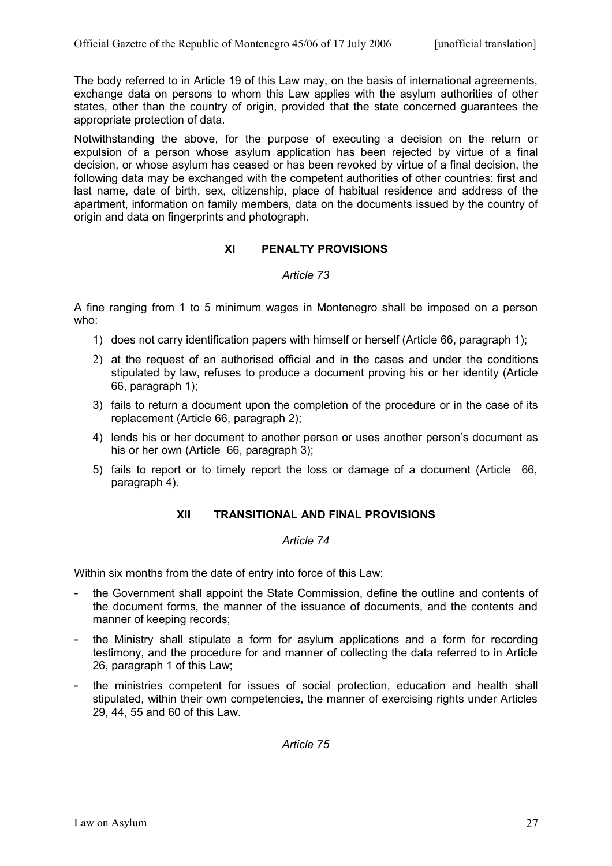The body referred to in Article 19 of this Law may, on the basis of international agreements, exchange data on persons to whom this Law applies with the asylum authorities of other states, other than the country of origin, provided that the state concerned guarantees the appropriate protection of data.

Notwithstanding the above, for the purpose of executing a decision on the return or expulsion of a person whose asylum application has been rejected by virtue of a final decision, or whose asylum has ceased or has been revoked by virtue of a final decision, the following data may be exchanged with the competent authorities of other countries: first and last name, date of birth, sex, citizenship, place of habitual residence and address of the apartment, information on family members, data on the documents issued by the country of origin and data on fingerprints and photograph.

# **XI PENALTY PROVISIONS**

# *Article 73*

A fine ranging from 1 to 5 minimum wages in Montenegro shall be imposed on a person who:

- 1) does not carry identification papers with himself or herself (Article 66, paragraph 1);
- 2) at the request of an authorised official and in the cases and under the conditions stipulated by law, refuses to produce a document proving his or her identity (Article 66, paragraph 1);
- 3) fails to return a document upon the completion of the procedure or in the case of its replacement (Article 66, paragraph 2);
- 4) lends his or her document to another person or uses another person's document as his or her own (Article 66, paragraph 3);
- 5) fails to report or to timely report the loss or damage of a document (Article 66, paragraph 4).

# **XII TRANSITIONAL AND FINAL PROVISIONS**

## *Article 74*

Within six months from the date of entry into force of this Law:

- the Government shall appoint the State Commission, define the outline and contents of the document forms, the manner of the issuance of documents, and the contents and manner of keeping records;
- the Ministry shall stipulate a form for asylum applications and a form for recording testimony, and the procedure for and manner of collecting the data referred to in Article 26, paragraph 1 of this Law;
- the ministries competent for issues of social protection, education and health shall stipulated, within their own competencies, the manner of exercising rights under Articles 29, 44, 55 and 60 of this Law.

*Article 75*